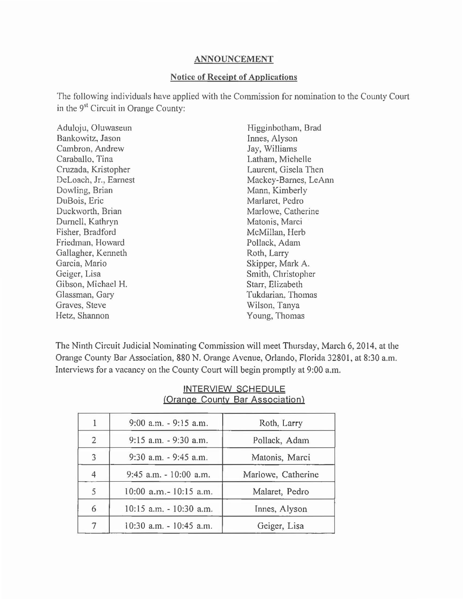## ANNOUNCEMENT

## Notice of Receipt of Applications

The following individuals have applied with the Commission for nomination to the County Court in the 9st Circuit in Orange County:

| Aduloju, Oluwaseun    | Higginbotham, Brad   |
|-----------------------|----------------------|
| Bankowitz, Jason      | Innes, Alyson        |
| Cambron, Andrew       | Jay, Williams        |
| Caraballo, Tina       | Latham, Michelle     |
| Cruzada, Kristopher   | Laurent, Gisela Then |
| DeLoach, Jr., Earnest | Mackey-Barnes, LeAnn |
| Dowling, Brian        | Mann, Kimberly       |
| DuBois, Eric          | Marlaret, Pedro      |
| Duckworth, Brian      | Marlowe, Catherine   |
| Durnell, Kathryn      | Matonis, Marci       |
| Fisher, Bradford      | McMillan, Herb       |
| Friedman, Howard      | Pollack, Adam        |
| Gallagher, Kenneth    | Roth, Larry          |
| Garcia, Mario         | Skipper, Mark A.     |
| Geiger, Lisa          | Smith, Christopher   |
| Gibson, Michael H.    | Starr, Elizabeth     |
| Glassman, Gary        | Tukdarian, Thomas    |
| Graves, Steve         | Wilson, Tanya        |
| Hetz, Shannon         | Young, Thomas        |
|                       |                      |

The Ninth Circuit Judicial Nominating Commission will meet Thursday, March 6, 2014, at the Orange County Bar Association, 880 N. Orange Avenue, Orlando, Florida 32801, at 8:30a.m. Interviews for a vacancy on the County Court will begin promptly at 9:00 a.m.

|   | 9:00 a.m. - 9:15 a.m.   | Roth, Larry        |
|---|-------------------------|--------------------|
| 2 | 9:15 a.m. - 9:30 a.m.   | Pollack, Adam      |
| 3 | 9:30 a.m. - 9:45 a.m.   | Matonis, Marci     |
| 4 | 9:45 a.m. - 10:00 a.m.  | Marlowe, Catherine |
| 5 | 10:00 a.m.- 10:15 a.m.  | Malaret, Pedro     |
| 6 | 10:15 a.m. - 10:30 a.m. | Innes, Alyson      |
|   | 10:30 a.m. - 10:45 a.m. | Geiger, Lisa       |

## INTERVIEW SCHEDULE (Orange County Bar Association)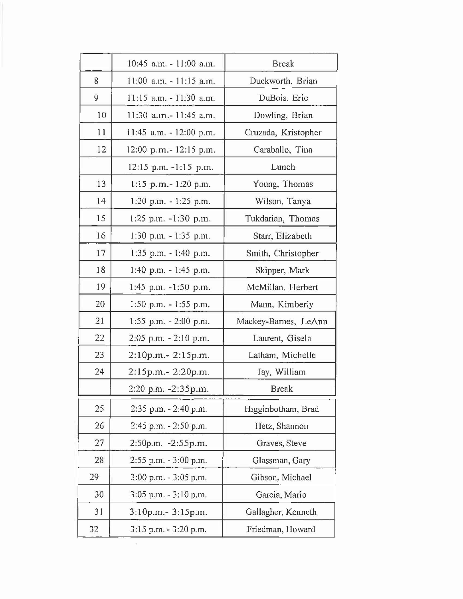|    | $10:45$ a.m. $-11:00$ a.m. | <b>Break</b>         |
|----|----------------------------|----------------------|
| 8  | $11:00$ a.m. $-11:15$ a.m. | Duckworth, Brian     |
| 9  | 11:15 a.m. - 11:30 a.m.    | DuBois, Eric         |
| 10 | 11:30 a.m.-11:45 a.m.      | Dowling, Brian       |
| 11 | 11:45 a.m. $-12:00$ p.m.   | Cruzada, Kristopher  |
| 12 | 12:00 p.m.- 12:15 p.m.     | Caraballo, Tina      |
|    | 12:15 p.m. -1:15 p.m.      | Lunch                |
| 13 | $1:15$ p.m. $-1:20$ p.m.   | Young, Thomas        |
| 14 | 1:20 p.m. - 1:25 p.m.      | Wilson, Tanya        |
| 15 | 1:25 p.m. $-1:30$ p.m.     | Tukdarian, Thomas    |
| 16 | $1:30$ p.m. $-1:35$ p.m.   | Starr, Elizabeth     |
| 17 | $1:35$ p.m. $-1:40$ p.m.   | Smith, Christopher   |
| 18 | 1:40 p.m. - 1:45 p.m.      | Skipper, Mark        |
| 19 | 1:45 p.m. $-1:50$ p.m.     | McMillan, Herbert    |
| 20 | 1:50 p.m. $-1:55$ p.m.     | Mann, Kimberly       |
| 21 | 1:55 p.m. $-2:00$ p.m.     | Mackey-Barnes, LeAnn |
| 22 | $2:05$ p.m. $-2:10$ p.m.   | Laurent, Gisela      |
| 23 | $2:10p.m.-2:15p.m.$        | Latham, Michelle     |
| 24 | 2:15p.m.- 2:20p.m.         | Jay, William         |
|    | 2:20 p.m. -2:35p.m.        | <b>Break</b>         |
| 25 | 2:35 p.m. - 2:40 p.m.      | Higginbotham, Brad   |
| 26 | 2:45 p.m. - 2:50 p.m.      | Hetz, Shannon        |
| 27 | 2:50p.m. - 2:55p.m.        | Graves, Steve        |
| 28 | 2:55 p.m. - 3:00 p.m.      | Glassman, Gary       |
| 29 | $3:00$ p.m. $-3:05$ p.m.   | Gibson, Michael      |
| 30 | $3:05$ p.m. $-3:10$ p.m.   | Garcia, Mario        |
| 31 | 3:10p.m.- 3:15p.m.         | Gallagher, Kenneth   |
| 32 | 3:15 p.m. - 3:20 p.m.      | Friedman, Howard     |

 $\tilde{\Sigma}$